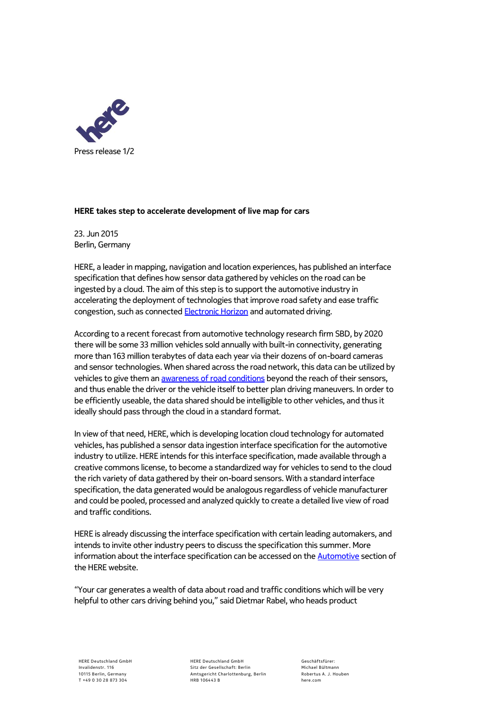

## **HERE takes step to accelerate development of live map for cars**

23. Jun 2015 Berlin, Germany

HERE, a leader in mapping, navigation and location experiences, has published an interface specification that defines how sensor data gathered by vehicles on the road can be ingested by a cloud. The aim of this step is to support the automotive industry in accelerating the deployment of technologies that improve road safety and ease traffic congestion, such as connected **Electronic Horizon** and automated driving.

According to a recent forecast from automotive technology research firm SBD, by 2020 there will be some 33 million vehicles sold annually with built-in connectivity, generating more than 163 million terabytes of data each year via their dozens of on-board cameras and sensor technologies. When shared across the road network, this data can be utilized by vehicles to give them a[n awareness of road conditions](http://360.here.com/2015/02/26/live-roads-bring-human-senses-automated-vehicles/) beyond the reach of their sensors, and thus enable the driver or the vehicle itself to better plan driving maneuvers. In order to be efficiently useable, the data shared should be intelligible to other vehicles, and thus it ideally should pass through the cloud in a standard format.

In view of that need, HERE, which is developing location cloud technology for automated vehicles, has published a sensor data ingestion interface specification for the automotive industry to utilize. HERE intends for this interface specification, made available through a creative commons license, to become a standardized way for vehicles to send to the cloud the rich variety of data gathered by their on-board sensors. With a standard interface specification, the data generated would be analogous regardless of vehicle manufacturer and could be pooled, processed and analyzed quickly to create a detailed live view of road and traffic conditions.

HERE is already discussing the interface specification with certain leading automakers, and intends to invite other industry peers to discuss the specification this summer. More information about the interface specification can be accessed on th[e Automotive](https://company.here.com/automotive/new-innovations/sensor-ingestion) section of the HERE website.

"Your car generates a wealth of data about road and traffic conditions which will be very helpful to other cars driving behind you," said Dietmar Rabel, who heads product

HERE Deutschland GmbH Sitz der Gesellschaft: Berlin Amtsgericht Charlottenburg, Berlin HRB 106443 B

Geschäftsfürer: Michael Bültmann Robertus A. J. Houben here.com